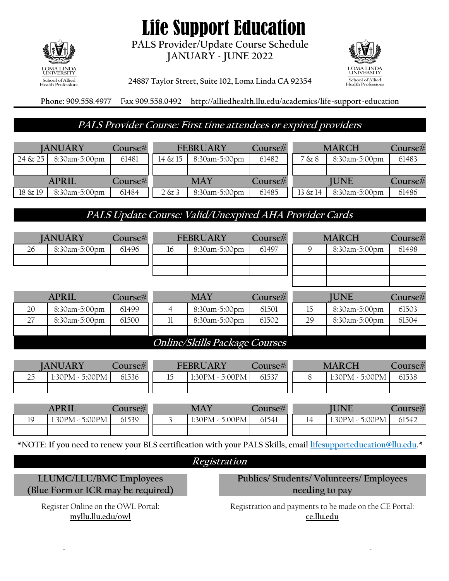

Life Support Education

**PALS Provider/Update Course Schedule JANUARY - JUNE 2022**



**24887 Taylor Street, Suite 102, Loma Linda CA 92354**

**Phone: 909.558.4977 Fax 909.558.0492 http://alliedhealth.llu.edu/academics/life-support-education**

#### **PALS Provider Course: First time attendees or expired providers**

| <b>IANUARY</b> |                  | Course $\#$ | <b>FEBRUARY</b> |                      | Course# | <b>MARCH</b> |               | Course#     |
|----------------|------------------|-------------|-----------------|----------------------|---------|--------------|---------------|-------------|
| $24 \& 25$     | $8:30$ am-5:00pm | 61481       | 14 & 15         | 8:30am-5:00pm        | 61482   | $\propto 8$  | 8:30am-5:00pm | 61483       |
|                |                  |             |                 |                      |         |              |               |             |
|                | <b>APRIL</b>     | Course $\#$ |                 | $\operatorname{MAY}$ | Course# |              | <b>IUNE</b>   | Course $\#$ |
| 18 & 19        | 8:30am-5:00pm    | 61484       | 2 & 3           | 8:30am-5:00pm        | 61485   | 13 & 14      | 8:30am-5:00pm | 61486       |

## **PALS Update Course: Valid/Unexpired AHA Provider Cards**

|    | IANUARY       | Course∦ | FEBRUARY |               | Course# | <b>MARCH</b> |               | $\text{Course}$ |
|----|---------------|---------|----------|---------------|---------|--------------|---------------|-----------------|
| 26 | 8:30am-5:00pm | 61496   | 16       | 8:30am-5:00pm | 61497   |              | 8:30am-5:00pm | 61498           |
|    |               |         |          |               |         |              |               |                 |
|    |               |         |          |               |         |              |               |                 |

|                          | <b>APRIL</b>                  | Course# |  | <b>MAY</b>    | Course# |    | IUNE          | Course# |  |
|--------------------------|-------------------------------|---------|--|---------------|---------|----|---------------|---------|--|
| 20                       | 8:30am-5:00pm                 | 61499   |  | 8:30am-5:00pm | 61501   |    | 8:30am-5:00pm | 61503   |  |
| $\overline{\mathcal{L}}$ | 8:30am-5:00pm                 | 61500   |  | 8:30am-5:00pm | 61502   | 29 | 8:30am-5:00pm | 61504   |  |
|                          |                               |         |  |               |         |    |               |         |  |
|                          | Online/Skills Package Courses |         |  |               |         |    |               |         |  |

|                       | Course#<br>$\mathfrak{l}\operatorname{\Delta} \mathbf{R} \operatorname{\mathbf{V}}$<br><b>IANU</b> |       | FEBRUARY |                  | $\text{Course} \#$ | <b>MARCH</b> |                      | ∠ourse# |
|-----------------------|----------------------------------------------------------------------------------------------------|-------|----------|------------------|--------------------|--------------|----------------------|---------|
| $\cap \subset$<br>ت ک | 5:00PM<br>1:30PM                                                                                   | 61536 | 15       | 5:00PM<br>1:30PM | 61537              |              | 5:00PM<br>$1:30PM -$ | 61538   |
|                       |                                                                                                    |       |          |                  |                    |              |                      |         |

|                   | APR1                         | Course# | <b>MAY</b>          | <i>L</i> ourse# |          | IUNE                  | <b>Course#</b> |
|-------------------|------------------------------|---------|---------------------|-----------------|----------|-----------------------|----------------|
| $\mathbf{I}$<br>∸ | $5:00PM_1$<br>$\cdot$ 30PM - | 61539   | 5:00PM<br>$30P$ M - | 61541           | <b>.</b> | 5:00PM<br>$1.30$ PM - | 61542          |
|                   |                              |         |                     |                 |          |                       |                |

**\*NOTE: If you need to renew your BLS certification with your PALS Skills, email lifesupporteducation@llu.edu.\***

## **Registration**

**LLUMC/LLU/BMC Employees (Blue Form or ICR may be required)**

Register Online on the OWL Portal: **myllu.llu.edu/owl**

**Publics/ Students/ Volunteers/ Employees needing to pay**

Registration and payments to be made on the CE Portal: **ce.llu.edu**